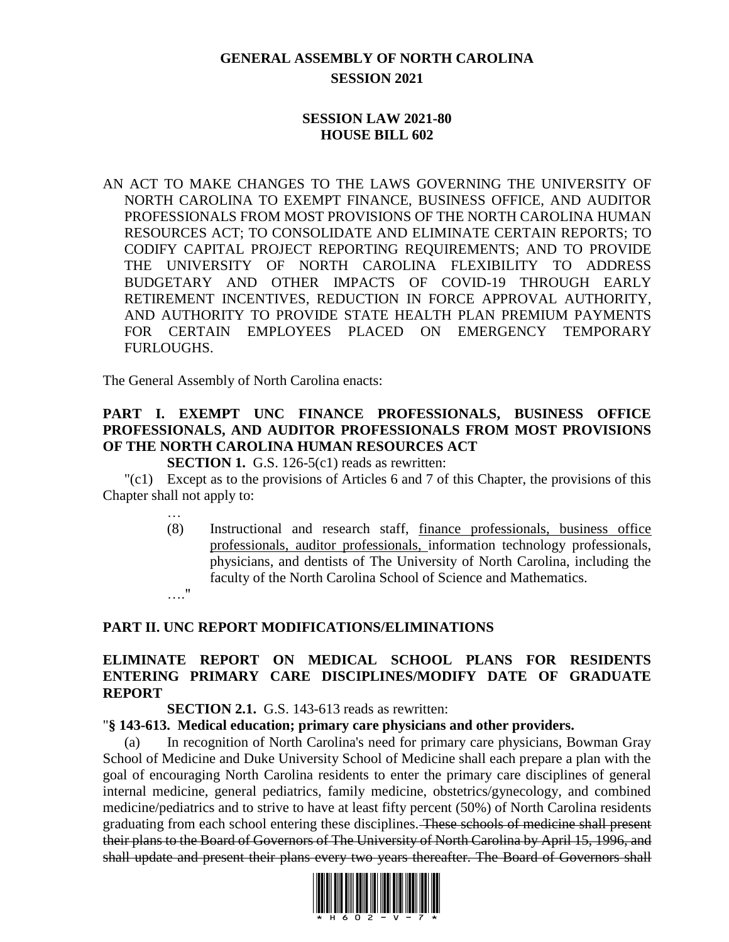# **GENERAL ASSEMBLY OF NORTH CAROLINA SESSION 2021**

#### **SESSION LAW 2021-80 HOUSE BILL 602**

AN ACT TO MAKE CHANGES TO THE LAWS GOVERNING THE UNIVERSITY OF NORTH CAROLINA TO EXEMPT FINANCE, BUSINESS OFFICE, AND AUDITOR PROFESSIONALS FROM MOST PROVISIONS OF THE NORTH CAROLINA HUMAN RESOURCES ACT; TO CONSOLIDATE AND ELIMINATE CERTAIN REPORTS; TO CODIFY CAPITAL PROJECT REPORTING REQUIREMENTS; AND TO PROVIDE THE UNIVERSITY OF NORTH CAROLINA FLEXIBILITY TO ADDRESS BUDGETARY AND OTHER IMPACTS OF COVID-19 THROUGH EARLY RETIREMENT INCENTIVES, REDUCTION IN FORCE APPROVAL AUTHORITY, AND AUTHORITY TO PROVIDE STATE HEALTH PLAN PREMIUM PAYMENTS FOR CERTAIN EMPLOYEES PLACED ON EMERGENCY TEMPORARY FURLOUGHS.

The General Assembly of North Carolina enacts:

# **PART I. EXEMPT UNC FINANCE PROFESSIONALS, BUSINESS OFFICE PROFESSIONALS, AND AUDITOR PROFESSIONALS FROM MOST PROVISIONS OF THE NORTH CAROLINA HUMAN RESOURCES ACT**

**SECTION 1.** G.S. 126-5(c1) reads as rewritten:

"(c1) Except as to the provisions of Articles 6 and 7 of this Chapter, the provisions of this Chapter shall not apply to:

…

(8) Instructional and research staff, finance professionals, business office professionals, auditor professionals, information technology professionals, physicians, and dentists of The University of North Carolina, including the faculty of the North Carolina School of Science and Mathematics. …."

#### **PART II. UNC REPORT MODIFICATIONS/ELIMINATIONS**

# **ELIMINATE REPORT ON MEDICAL SCHOOL PLANS FOR RESIDENTS ENTERING PRIMARY CARE DISCIPLINES/MODIFY DATE OF GRADUATE REPORT**

#### **SECTION 2.1.** G.S. 143-613 reads as rewritten:

#### "**§ 143-613. Medical education; primary care physicians and other providers.**

(a) In recognition of North Carolina's need for primary care physicians, Bowman Gray School of Medicine and Duke University School of Medicine shall each prepare a plan with the goal of encouraging North Carolina residents to enter the primary care disciplines of general internal medicine, general pediatrics, family medicine, obstetrics/gynecology, and combined medicine/pediatrics and to strive to have at least fifty percent (50%) of North Carolina residents graduating from each school entering these disciplines. These schools of medicine shall present their plans to the Board of Governors of The University of North Carolina by April 15, 1996, and shall update and present their plans every two years thereafter. The Board of Governors shall

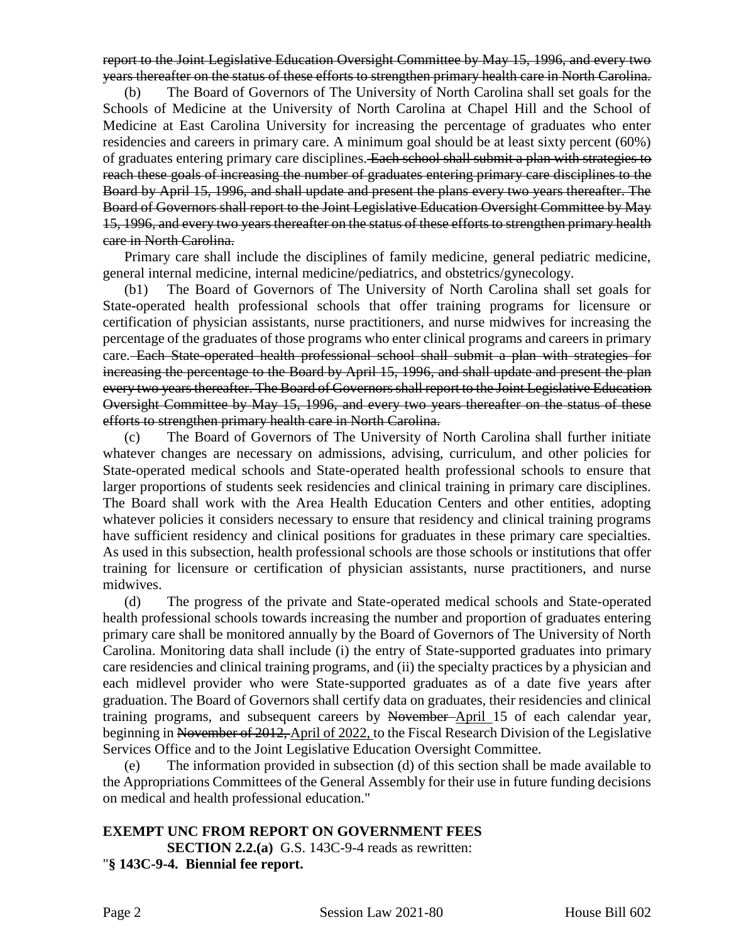report to the Joint Legislative Education Oversight Committee by May 15, 1996, and every two years thereafter on the status of these efforts to strengthen primary health care in North Carolina.

(b) The Board of Governors of The University of North Carolina shall set goals for the Schools of Medicine at the University of North Carolina at Chapel Hill and the School of Medicine at East Carolina University for increasing the percentage of graduates who enter residencies and careers in primary care. A minimum goal should be at least sixty percent (60%) of graduates entering primary care disciplines. Each school shall submit a plan with strategies to reach these goals of increasing the number of graduates entering primary care disciplines to the Board by April 15, 1996, and shall update and present the plans every two years thereafter. The Board of Governors shall report to the Joint Legislative Education Oversight Committee by May 15, 1996, and every two years thereafter on the status of these efforts to strengthen primary health care in North Carolina.

Primary care shall include the disciplines of family medicine, general pediatric medicine, general internal medicine, internal medicine/pediatrics, and obstetrics/gynecology.

(b1) The Board of Governors of The University of North Carolina shall set goals for State-operated health professional schools that offer training programs for licensure or certification of physician assistants, nurse practitioners, and nurse midwives for increasing the percentage of the graduates of those programs who enter clinical programs and careers in primary care. Each State-operated health professional school shall submit a plan with strategies for increasing the percentage to the Board by April 15, 1996, and shall update and present the plan every two years thereafter. The Board of Governors shall report to the Joint Legislative Education Oversight Committee by May 15, 1996, and every two years thereafter on the status of these efforts to strengthen primary health care in North Carolina.

(c) The Board of Governors of The University of North Carolina shall further initiate whatever changes are necessary on admissions, advising, curriculum, and other policies for State-operated medical schools and State-operated health professional schools to ensure that larger proportions of students seek residencies and clinical training in primary care disciplines. The Board shall work with the Area Health Education Centers and other entities, adopting whatever policies it considers necessary to ensure that residency and clinical training programs have sufficient residency and clinical positions for graduates in these primary care specialties. As used in this subsection, health professional schools are those schools or institutions that offer training for licensure or certification of physician assistants, nurse practitioners, and nurse midwives.

(d) The progress of the private and State-operated medical schools and State-operated health professional schools towards increasing the number and proportion of graduates entering primary care shall be monitored annually by the Board of Governors of The University of North Carolina. Monitoring data shall include (i) the entry of State-supported graduates into primary care residencies and clinical training programs, and (ii) the specialty practices by a physician and each midlevel provider who were State-supported graduates as of a date five years after graduation. The Board of Governors shall certify data on graduates, their residencies and clinical training programs, and subsequent careers by November April 15 of each calendar year, beginning in November of 2012, April of 2022, to the Fiscal Research Division of the Legislative Services Office and to the Joint Legislative Education Oversight Committee.

(e) The information provided in subsection (d) of this section shall be made available to the Appropriations Committees of the General Assembly for their use in future funding decisions on medical and health professional education."

# **EXEMPT UNC FROM REPORT ON GOVERNMENT FEES**

**SECTION 2.2.(a)** G.S. 143C-9-4 reads as rewritten: "**§ 143C-9-4. Biennial fee report.**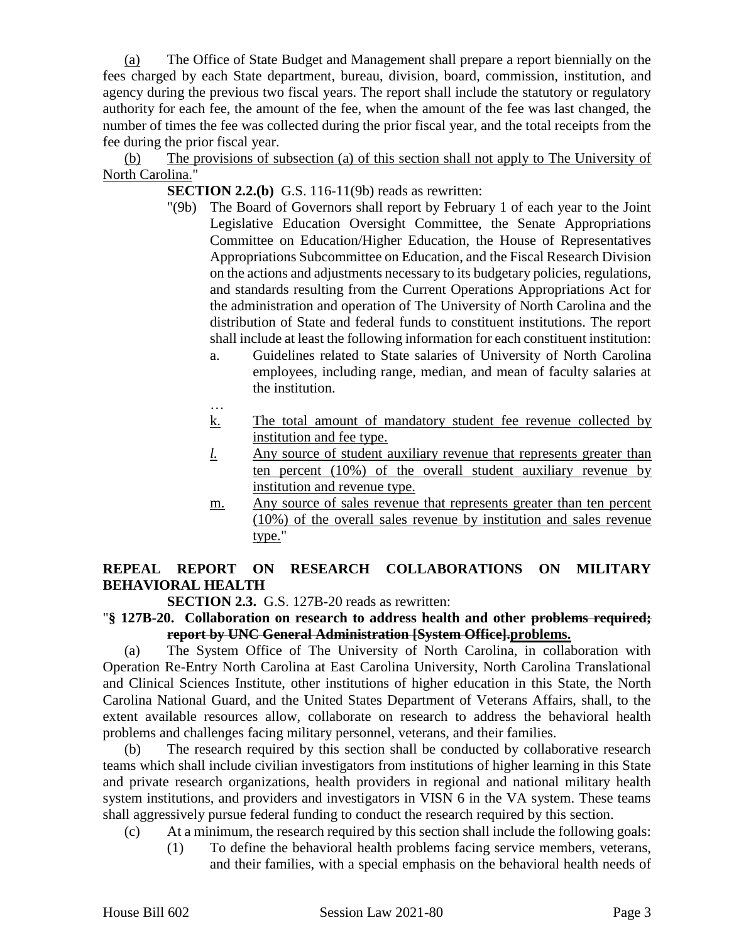(a) The Office of State Budget and Management shall prepare a report biennially on the fees charged by each State department, bureau, division, board, commission, institution, and agency during the previous two fiscal years. The report shall include the statutory or regulatory authority for each fee, the amount of the fee, when the amount of the fee was last changed, the number of times the fee was collected during the prior fiscal year, and the total receipts from the fee during the prior fiscal year.

(b) The provisions of subsection (a) of this section shall not apply to The University of North Carolina."

**SECTION 2.2.(b)** G.S. 116-11(9b) reads as rewritten:

- "(9b) The Board of Governors shall report by February 1 of each year to the Joint Legislative Education Oversight Committee, the Senate Appropriations Committee on Education/Higher Education, the House of Representatives Appropriations Subcommittee on Education, and the Fiscal Research Division on the actions and adjustments necessary to its budgetary policies, regulations, and standards resulting from the Current Operations Appropriations Act for the administration and operation of The University of North Carolina and the distribution of State and federal funds to constituent institutions. The report shall include at least the following information for each constituent institution:
	- a. Guidelines related to State salaries of University of North Carolina employees, including range, median, and mean of faculty salaries at the institution.
	- … k. The total amount of mandatory student fee revenue collected by institution and fee type.
	- *l.* Any source of student auxiliary revenue that represents greater than ten percent (10%) of the overall student auxiliary revenue by institution and revenue type.
	- m. Any source of sales revenue that represents greater than ten percent (10%) of the overall sales revenue by institution and sales revenue type."

# **REPEAL REPORT ON RESEARCH COLLABORATIONS ON MILITARY BEHAVIORAL HEALTH**

**SECTION 2.3.** G.S. 127B-20 reads as rewritten:

#### "**§ 127B-20. Collaboration on research to address health and other problems required; report by UNC General Administration [System Office].problems.**

(a) The System Office of The University of North Carolina, in collaboration with Operation Re-Entry North Carolina at East Carolina University, North Carolina Translational and Clinical Sciences Institute, other institutions of higher education in this State, the North Carolina National Guard, and the United States Department of Veterans Affairs, shall, to the extent available resources allow, collaborate on research to address the behavioral health problems and challenges facing military personnel, veterans, and their families.

(b) The research required by this section shall be conducted by collaborative research teams which shall include civilian investigators from institutions of higher learning in this State and private research organizations, health providers in regional and national military health system institutions, and providers and investigators in VISN 6 in the VA system. These teams shall aggressively pursue federal funding to conduct the research required by this section.

- (c) At a minimum, the research required by this section shall include the following goals:
	- (1) To define the behavioral health problems facing service members, veterans, and their families, with a special emphasis on the behavioral health needs of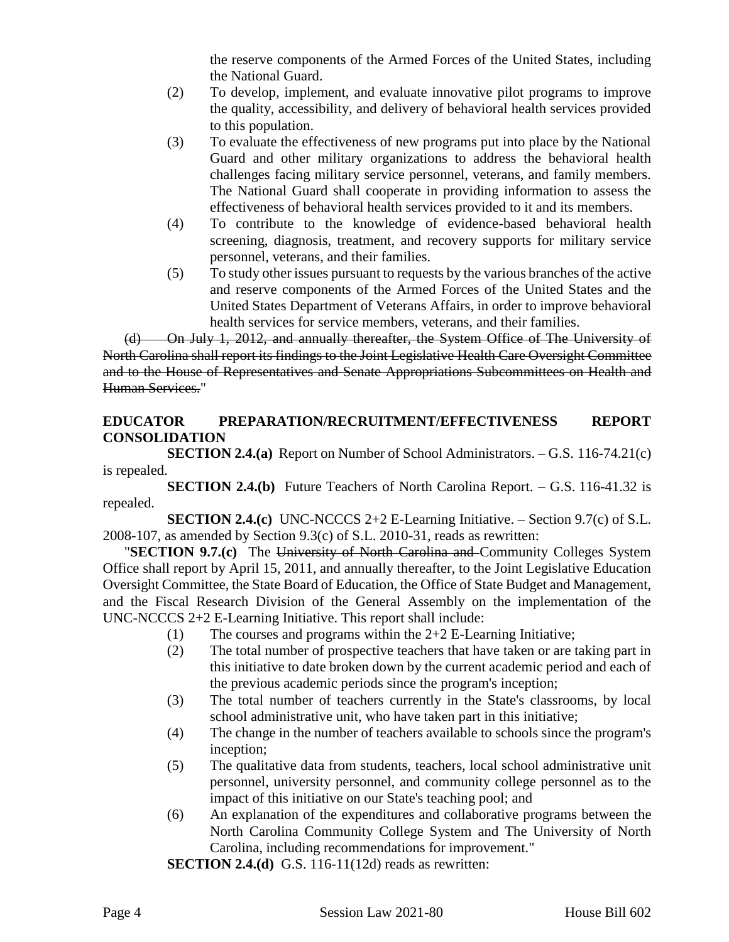the reserve components of the Armed Forces of the United States, including the National Guard.

- (2) To develop, implement, and evaluate innovative pilot programs to improve the quality, accessibility, and delivery of behavioral health services provided to this population.
- (3) To evaluate the effectiveness of new programs put into place by the National Guard and other military organizations to address the behavioral health challenges facing military service personnel, veterans, and family members. The National Guard shall cooperate in providing information to assess the effectiveness of behavioral health services provided to it and its members.
- (4) To contribute to the knowledge of evidence-based behavioral health screening, diagnosis, treatment, and recovery supports for military service personnel, veterans, and their families.
- (5) To study other issues pursuant to requests by the various branches of the active and reserve components of the Armed Forces of the United States and the United States Department of Veterans Affairs, in order to improve behavioral health services for service members, veterans, and their families.

(d) On July 1, 2012, and annually thereafter, the System Office of The University of North Carolina shall report its findings to the Joint Legislative Health Care Oversight Committee and to the House of Representatives and Senate Appropriations Subcommittees on Health and Human Services."

### **EDUCATOR PREPARATION/RECRUITMENT/EFFECTIVENESS REPORT CONSOLIDATION**

**SECTION 2.4.(a)** Report on Number of School Administrators. – G.S. 116-74.21(c) is repealed.

**SECTION 2.4.(b)** Future Teachers of North Carolina Report. – G.S. 116-41.32 is repealed.

**SECTION 2.4.(c)** UNC-NCCCS 2+2 E-Learning Initiative. – Section 9.7(c) of S.L. 2008-107, as amended by Section 9.3(c) of S.L. 2010-31, reads as rewritten:

"**SECTION 9.7.(c)** The University of North Carolina and Community Colleges System Office shall report by April 15, 2011, and annually thereafter, to the Joint Legislative Education Oversight Committee, the State Board of Education, the Office of State Budget and Management, and the Fiscal Research Division of the General Assembly on the implementation of the UNC-NCCCS 2+2 E-Learning Initiative. This report shall include:

- (1) The courses and programs within the 2+2 E-Learning Initiative;
- (2) The total number of prospective teachers that have taken or are taking part in this initiative to date broken down by the current academic period and each of the previous academic periods since the program's inception;
- (3) The total number of teachers currently in the State's classrooms, by local school administrative unit, who have taken part in this initiative;
- (4) The change in the number of teachers available to schools since the program's inception;
- (5) The qualitative data from students, teachers, local school administrative unit personnel, university personnel, and community college personnel as to the impact of this initiative on our State's teaching pool; and
- (6) An explanation of the expenditures and collaborative programs between the North Carolina Community College System and The University of North Carolina, including recommendations for improvement."

**SECTION 2.4.(d)** G.S. 116-11(12d) reads as rewritten: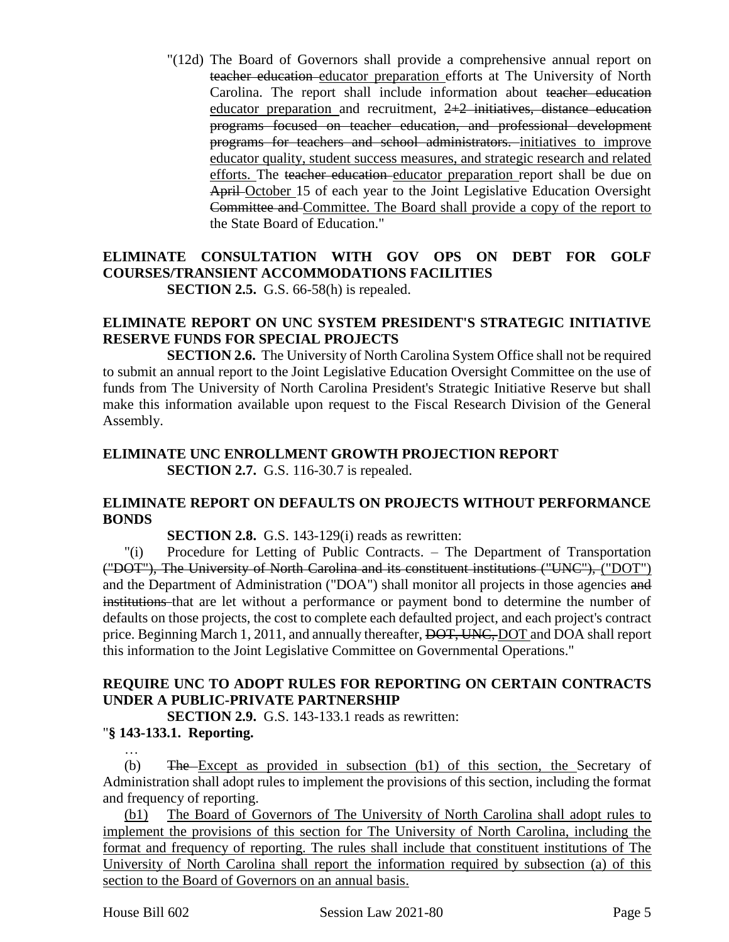"(12d) The Board of Governors shall provide a comprehensive annual report on teacher education educator preparation efforts at The University of North Carolina. The report shall include information about teacher education educator preparation and recruitment,  $2+2$  initiatives, distance education programs focused on teacher education, and professional development programs for teachers and school administrators. initiatives to improve educator quality, student success measures, and strategic research and related efforts. The teacher education educator preparation report shall be due on April October 15 of each year to the Joint Legislative Education Oversight Committee and Committee. The Board shall provide a copy of the report to the State Board of Education."

#### **ELIMINATE CONSULTATION WITH GOV OPS ON DEBT FOR GOLF COURSES/TRANSIENT ACCOMMODATIONS FACILITIES SECTION 2.5.** G.S. 66-58(h) is repealed.

#### **ELIMINATE REPORT ON UNC SYSTEM PRESIDENT'S STRATEGIC INITIATIVE RESERVE FUNDS FOR SPECIAL PROJECTS**

**SECTION 2.6.** The University of North Carolina System Office shall not be required to submit an annual report to the Joint Legislative Education Oversight Committee on the use of funds from The University of North Carolina President's Strategic Initiative Reserve but shall make this information available upon request to the Fiscal Research Division of the General Assembly.

#### **ELIMINATE UNC ENROLLMENT GROWTH PROJECTION REPORT SECTION 2.7.** G.S. 116-30.7 is repealed.

#### **ELIMINATE REPORT ON DEFAULTS ON PROJECTS WITHOUT PERFORMANCE BONDS**

**SECTION 2.8.** G.S. 143-129(i) reads as rewritten:

"(i) Procedure for Letting of Public Contracts. – The Department of Transportation ("DOT"), The University of North Carolina and its constituent institutions ("UNC"), ("DOT") and the Department of Administration ("DOA") shall monitor all projects in those agencies and institutions that are let without a performance or payment bond to determine the number of defaults on those projects, the cost to complete each defaulted project, and each project's contract price. Beginning March 1, 2011, and annually thereafter, DOT, UNC, DOT and DOA shall report this information to the Joint Legislative Committee on Governmental Operations."

# **REQUIRE UNC TO ADOPT RULES FOR REPORTING ON CERTAIN CONTRACTS UNDER A PUBLIC-PRIVATE PARTNERSHIP**

**SECTION 2.9.** G.S. 143-133.1 reads as rewritten:

# "**§ 143-133.1. Reporting.**

… (b) The Except as provided in subsection (b1) of this section, the Secretary of Administration shall adopt rules to implement the provisions of this section, including the format and frequency of reporting.

(b1) The Board of Governors of The University of North Carolina shall adopt rules to implement the provisions of this section for The University of North Carolina, including the format and frequency of reporting. The rules shall include that constituent institutions of The University of North Carolina shall report the information required by subsection (a) of this section to the Board of Governors on an annual basis.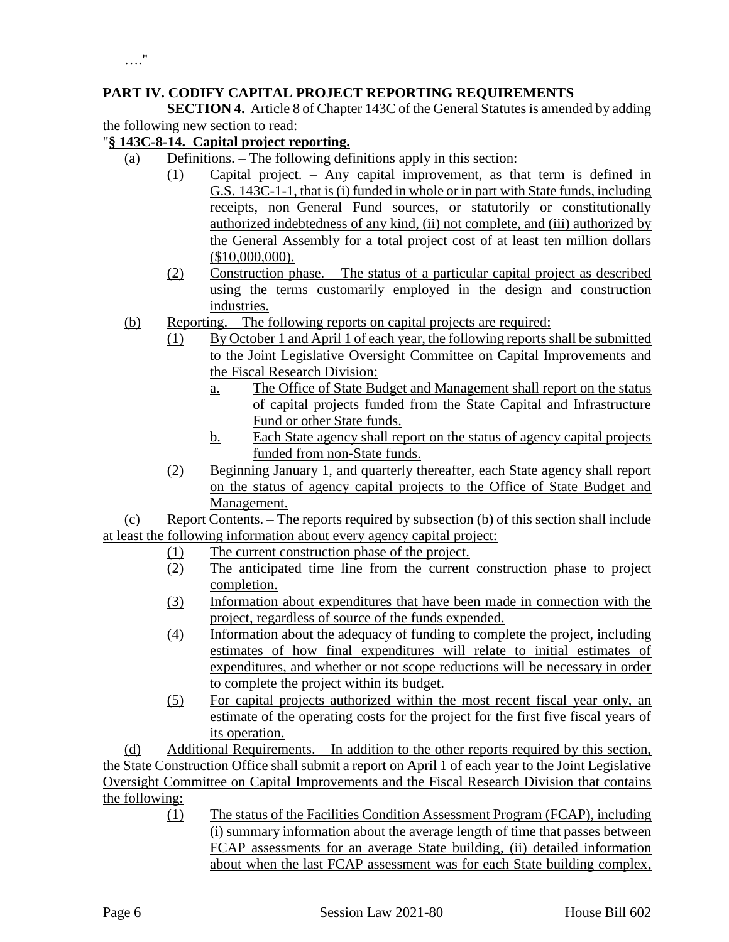# **PART IV. CODIFY CAPITAL PROJECT REPORTING REQUIREMENTS**

**SECTION 4.** Article 8 of Chapter 143C of the General Statutes is amended by adding the following new section to read:

#### "**§ 143C-8-14. Capital project reporting.**

- (a) Definitions. The following definitions apply in this section:
	- (1) Capital project. Any capital improvement, as that term is defined in G.S. 143C-1-1, that is (i) funded in whole or in part with State funds, including receipts, non–General Fund sources, or statutorily or constitutionally authorized indebtedness of any kind, (ii) not complete, and (iii) authorized by the General Assembly for a total project cost of at least ten million dollars (\$10,000,000).
	- (2) Construction phase. The status of a particular capital project as described using the terms customarily employed in the design and construction industries.
- (b) Reporting. The following reports on capital projects are required:
	- (1) By October 1 and April 1 of each year, the following reports shall be submitted to the Joint Legislative Oversight Committee on Capital Improvements and the Fiscal Research Division:
		- a. The Office of State Budget and Management shall report on the status of capital projects funded from the State Capital and Infrastructure Fund or other State funds.
		- b. Each State agency shall report on the status of agency capital projects funded from non-State funds.
	- (2) Beginning January 1, and quarterly thereafter, each State agency shall report on the status of agency capital projects to the Office of State Budget and Management.

(c) Report Contents. – The reports required by subsection (b) of this section shall include at least the following information about every agency capital project:

- (1) The current construction phase of the project.
- (2) The anticipated time line from the current construction phase to project completion.
- (3) Information about expenditures that have been made in connection with the project, regardless of source of the funds expended.
- (4) Information about the adequacy of funding to complete the project, including estimates of how final expenditures will relate to initial estimates of expenditures, and whether or not scope reductions will be necessary in order to complete the project within its budget.
- (5) For capital projects authorized within the most recent fiscal year only, an estimate of the operating costs for the project for the first five fiscal years of its operation.

(d) Additional Requirements. – In addition to the other reports required by this section, the State Construction Office shall submit a report on April 1 of each year to the Joint Legislative Oversight Committee on Capital Improvements and the Fiscal Research Division that contains the following:

> (1) The status of the Facilities Condition Assessment Program (FCAP), including (i) summary information about the average length of time that passes between FCAP assessments for an average State building, (ii) detailed information about when the last FCAP assessment was for each State building complex,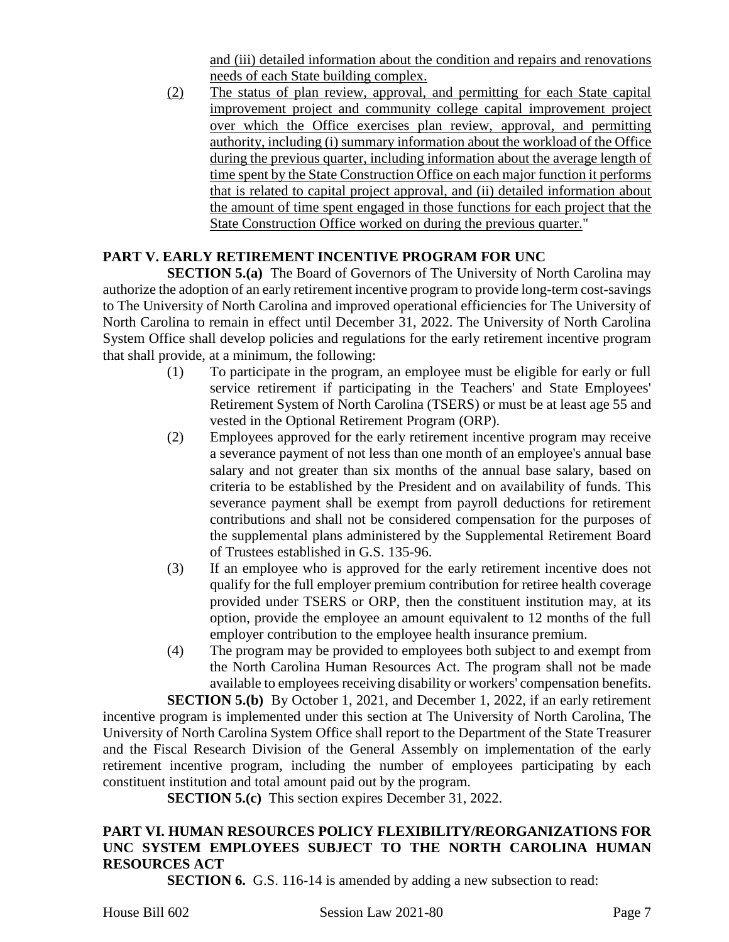and (iii) detailed information about the condition and repairs and renovations needs of each State building complex.

(2) The status of plan review, approval, and permitting for each State capital improvement project and community college capital improvement project over which the Office exercises plan review, approval, and permitting authority, including (i) summary information about the workload of the Office during the previous quarter, including information about the average length of time spent by the State Construction Office on each major function it performs that is related to capital project approval, and (ii) detailed information about the amount of time spent engaged in those functions for each project that the State Construction Office worked on during the previous quarter."

# **PART V. EARLY RETIREMENT INCENTIVE PROGRAM FOR UNC**

**SECTION 5.(a)** The Board of Governors of The University of North Carolina may authorize the adoption of an early retirement incentive program to provide long-term cost-savings to The University of North Carolina and improved operational efficiencies for The University of North Carolina to remain in effect until December 31, 2022. The University of North Carolina System Office shall develop policies and regulations for the early retirement incentive program that shall provide, at a minimum, the following:

- (1) To participate in the program, an employee must be eligible for early or full service retirement if participating in the Teachers' and State Employees' Retirement System of North Carolina (TSERS) or must be at least age 55 and vested in the Optional Retirement Program (ORP).
- (2) Employees approved for the early retirement incentive program may receive a severance payment of not less than one month of an employee's annual base salary and not greater than six months of the annual base salary, based on criteria to be established by the President and on availability of funds. This severance payment shall be exempt from payroll deductions for retirement contributions and shall not be considered compensation for the purposes of the supplemental plans administered by the Supplemental Retirement Board of Trustees established in G.S. 135-96.
- (3) If an employee who is approved for the early retirement incentive does not qualify for the full employer premium contribution for retiree health coverage provided under TSERS or ORP, then the constituent institution may, at its option, provide the employee an amount equivalent to 12 months of the full employer contribution to the employee health insurance premium.
- (4) The program may be provided to employees both subject to and exempt from the North Carolina Human Resources Act. The program shall not be made available to employees receiving disability or workers' compensation benefits.

**SECTION 5.(b)** By October 1, 2021, and December 1, 2022, if an early retirement incentive program is implemented under this section at The University of North Carolina, The University of North Carolina System Office shall report to the Department of the State Treasurer and the Fiscal Research Division of the General Assembly on implementation of the early retirement incentive program, including the number of employees participating by each constituent institution and total amount paid out by the program.

**SECTION 5.(c)** This section expires December 31, 2022.

# **PART VI. HUMAN RESOURCES POLICY FLEXIBILITY/REORGANIZATIONS FOR UNC SYSTEM EMPLOYEES SUBJECT TO THE NORTH CAROLINA HUMAN RESOURCES ACT**

**SECTION 6.** G.S. 116-14 is amended by adding a new subsection to read:

House Bill 602 Session Law 2021-80 Page 7